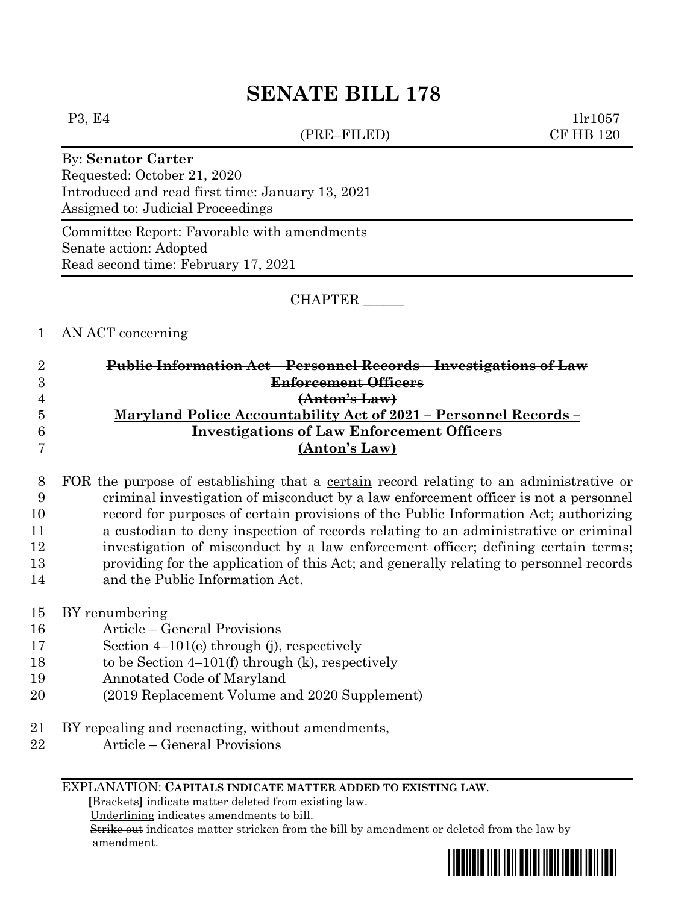# **SENATE BILL 178**

(PRE–FILED) CF HB 120

P3, E4 1lr1057

### By: **Senator Carter**

Requested: October 21, 2020 Introduced and read first time: January 13, 2021 Assigned to: Judicial Proceedings

Committee Report: Favorable with amendments Senate action: Adopted Read second time: February 17, 2021

CHAPTER \_\_\_\_\_\_

## 1 AN ACT concerning

| $\overline{2}$ | <del>Public Information Act - Personnel Records - Investigations of Law</del> |
|----------------|-------------------------------------------------------------------------------|
| 3              | <del>Enforcement Officers</del>                                               |
| $\overline{4}$ | (Anton's Law)                                                                 |
| $\overline{5}$ | Maryland Police Accountability Act of 2021 - Personnel Records -              |
| 6              | <b>Investigations of Law Enforcement Officers</b>                             |
|                | (Anton's Law)                                                                 |

 FOR the purpose of establishing that a certain record relating to an administrative or criminal investigation of misconduct by a law enforcement officer is not a personnel record for purposes of certain provisions of the Public Information Act; authorizing a custodian to deny inspection of records relating to an administrative or criminal investigation of misconduct by a law enforcement officer; defining certain terms; providing for the application of this Act; and generally relating to personnel records and the Public Information Act.

- 15 BY renumbering
- 16 Article General Provisions
- 17 Section 4–101(e) through (j), respectively
- 18 to be Section 4–101(f) through (k), respectively
- 19 Annotated Code of Maryland
- 20 (2019 Replacement Volume and 2020 Supplement)
- 21 BY repealing and reenacting, without amendments,
- 22 Article General Provisions

#### EXPLANATION: **CAPITALS INDICATE MATTER ADDED TO EXISTING LAW**.

 **[**Brackets**]** indicate matter deleted from existing law.

Underlining indicates amendments to bill.

 Strike out indicates matter stricken from the bill by amendment or deleted from the law by amendment.

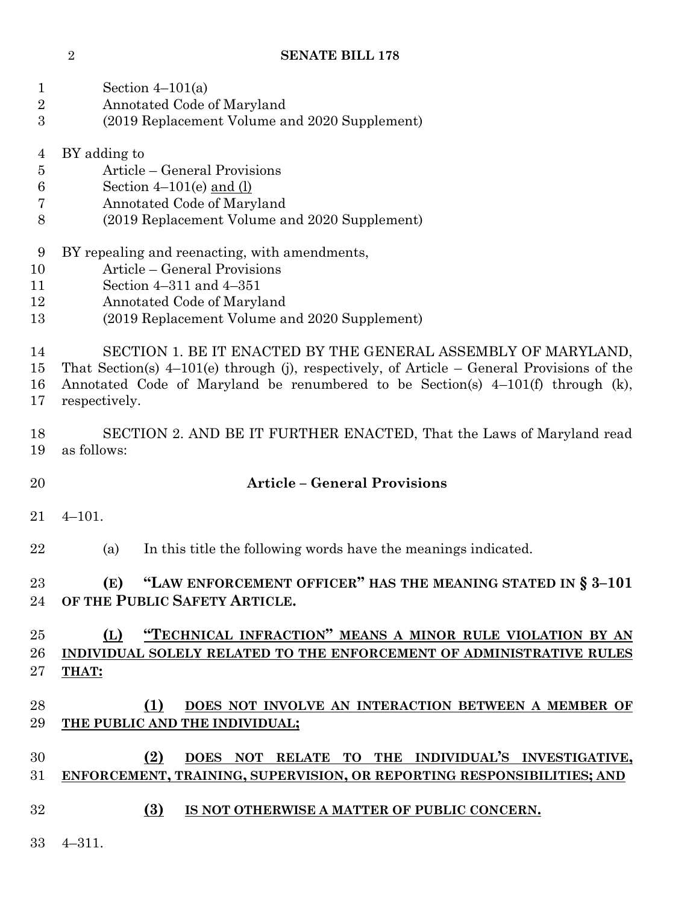## **SENATE BILL 178**

| $\mathbf{1}$<br>$\sqrt{2}$<br>3                                | Section $4-101(a)$<br>Annotated Code of Maryland<br>(2019 Replacement Volume and 2020 Supplement)                                                                                                                                                                 |
|----------------------------------------------------------------|-------------------------------------------------------------------------------------------------------------------------------------------------------------------------------------------------------------------------------------------------------------------|
| $\overline{4}$<br>$\overline{5}$<br>$\boldsymbol{6}$<br>7<br>8 | BY adding to<br>Article – General Provisions<br>Section $4-101(e)$ and $(l)$<br>Annotated Code of Maryland<br>(2019 Replacement Volume and 2020 Supplement)                                                                                                       |
| 9<br>10<br>11<br>12<br>13                                      | BY repealing and reenacting, with amendments,<br>Article – General Provisions<br>Section $4-311$ and $4-351$<br>Annotated Code of Maryland<br>(2019 Replacement Volume and 2020 Supplement)                                                                       |
| 14<br>15<br>16<br>17                                           | SECTION 1. BE IT ENACTED BY THE GENERAL ASSEMBLY OF MARYLAND,<br>That Section(s) $4-101(e)$ through (j), respectively, of Article – General Provisions of the<br>Annotated Code of Maryland be renumbered to be Section(s) 4-101(f) through (k),<br>respectively. |
| 18<br>19                                                       | SECTION 2. AND BE IT FURTHER ENACTED, That the Laws of Maryland read<br>as follows:                                                                                                                                                                               |
| 20                                                             | <b>Article - General Provisions</b>                                                                                                                                                                                                                               |
| 21                                                             | $4 - 101.$                                                                                                                                                                                                                                                        |
| 22                                                             | In this title the following words have the meanings indicated.<br>(a)                                                                                                                                                                                             |
|                                                                | (E) "LAW ENFORCEMENT OFFICER" HAS THE MEANING STATED IN § 3-101<br>23 and $\sim$<br>24 OF THE PUBLIC SAFETY ARTICLE.                                                                                                                                              |
| 25<br>26<br>27                                                 | (L) "TECHNICAL INFRACTION" MEANS A MINOR RULE VIOLATION BY AN<br>INDIVIDUAL SOLELY RELATED TO THE ENFORCEMENT OF ADMINISTRATIVE RULES<br><b>THAT:</b>                                                                                                             |
| 28<br>29                                                       | (1)<br>DOES NOT INVOLVE AN INTERACTION BETWEEN A MEMBER OF<br>THE PUBLIC AND THE INDIVIDUAL;                                                                                                                                                                      |
| 30<br>31                                                       | DOES NOT RELATE TO THE INDIVIDUAL'S INVESTIGATIVE,<br>(2)<br>ENFORCEMENT, TRAINING, SUPERVISION, OR REPORTING RESPONSIBILITIES; AND                                                                                                                               |
| 32                                                             | (3)<br>IS NOT OTHERWISE A MATTER OF PUBLIC CONCERN.                                                                                                                                                                                                               |
|                                                                | $4 - 311.$                                                                                                                                                                                                                                                        |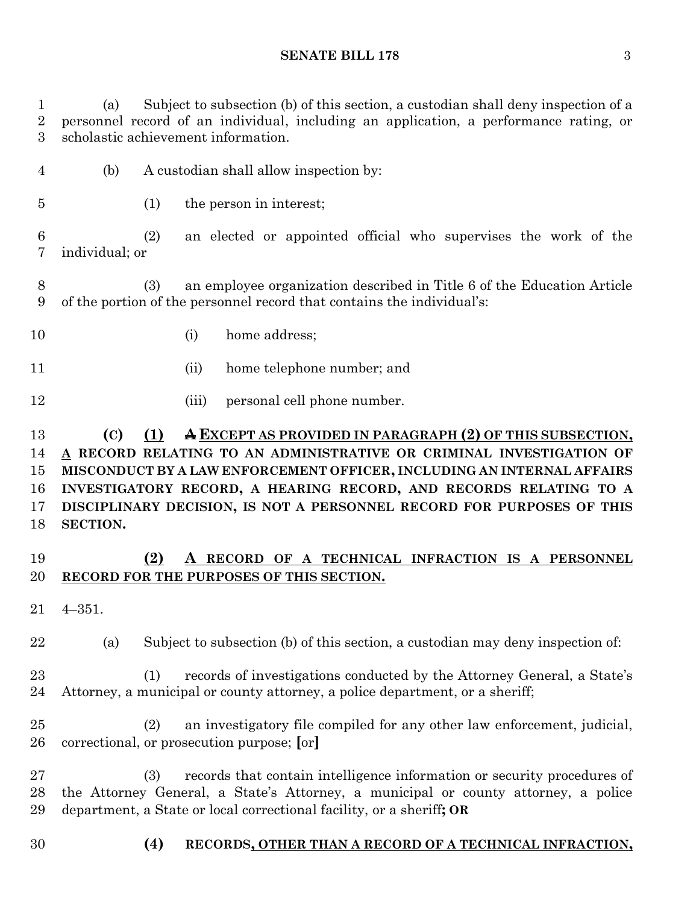### **SENATE BILL 178** 3

 (a) Subject to subsection (b) of this section, a custodian shall deny inspection of a personnel record of an individual, including an application, a performance rating, or scholastic achievement information.

- (b) A custodian shall allow inspection by:
- (1) the person in interest;

 (2) an elected or appointed official who supervises the work of the individual; or

 (3) an employee organization described in Title 6 of the Education Article of the portion of the personnel record that contains the individual's:

- 10 (i) home address;
- (ii) home telephone number; and
- 12 (iii) personal cell phone number.

# **(C) (1) A EXCEPT AS PROVIDED IN PARAGRAPH (2) OF THIS SUBSECTION, A RECORD RELATING TO AN ADMINISTRATIVE OR CRIMINAL INVESTIGATION OF MISCONDUCT BY A LAW ENFORCEMENT OFFICER, INCLUDING AN INTERNAL AFFAIRS INVESTIGATORY RECORD, A HEARING RECORD, AND RECORDS RELATING TO A DISCIPLINARY DECISION, IS NOT A PERSONNEL RECORD FOR PURPOSES OF THIS SECTION.**

## **(2) A RECORD OF A TECHNICAL INFRACTION IS A PERSONNEL RECORD FOR THE PURPOSES OF THIS SECTION.**

4–351.

(a) Subject to subsection (b) of this section, a custodian may deny inspection of:

 (1) records of investigations conducted by the Attorney General, a State's Attorney, a municipal or county attorney, a police department, or a sheriff;

 (2) an investigatory file compiled for any other law enforcement, judicial, correctional, or prosecution purpose; **[**or**]**

 (3) records that contain intelligence information or security procedures of the Attorney General, a State's Attorney, a municipal or county attorney, a police department, a State or local correctional facility, or a sheriff**; OR**

**(4) RECORDS, OTHER THAN A RECORD OF A TECHNICAL INFRACTION,**